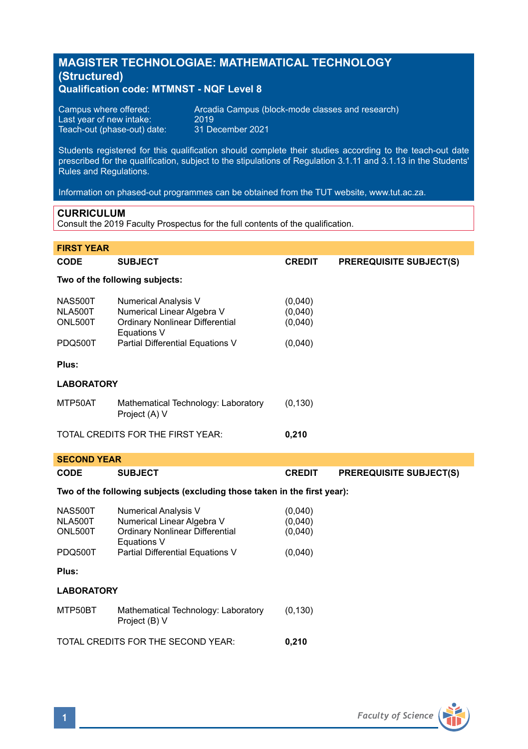# **MAGISTER TECHNOLOGIAE: MATHEMATICAL TECHNOLOGY (Structured) Qualification code: MTMNST - NQF Level 8**

| Campus where offered:       | Arcadia Campus (block-mode classes and research) |
|-----------------------------|--------------------------------------------------|
| Last year of new intake:    | 2019                                             |
| Teach-out (phase-out) date: | 31 December 2021                                 |

Students registered for this qualification should complete their studies according to the teach-out date prescribed for the qualification, subject to the stipulations of Regulation 3.1.11 and 3.1.13 in the Students' Rules and Regulations.

Information on phased-out programmes can be obtained from the TUT website, www.tut.ac.za.

## **CURRICULUM**

Consult the 2019 Faculty Prospectus for the full contents of the qualification.

| <b>FIRST YEAR</b>                                                        |                                                                                                                                                 |                                          |                                |  |  |
|--------------------------------------------------------------------------|-------------------------------------------------------------------------------------------------------------------------------------------------|------------------------------------------|--------------------------------|--|--|
| CODE                                                                     | <b>SUBJECT</b>                                                                                                                                  | <b>CREDIT</b>                            | <b>PREREQUISITE SUBJECT(S)</b> |  |  |
|                                                                          | Two of the following subjects:                                                                                                                  |                                          |                                |  |  |
| <b>NAS500T</b><br>NLA500T<br>ONL500T<br>PDQ500T                          | <b>Numerical Analysis V</b><br>Numerical Linear Algebra V<br>Ordinary Nonlinear Differential<br>Equations V<br>Partial Differential Equations V | (0,040)<br>(0,040)<br>(0,040)<br>(0,040) |                                |  |  |
|                                                                          |                                                                                                                                                 |                                          |                                |  |  |
| Plus:                                                                    |                                                                                                                                                 |                                          |                                |  |  |
| <b>LABORATORY</b>                                                        |                                                                                                                                                 |                                          |                                |  |  |
| MTP50AT                                                                  | Mathematical Technology: Laboratory<br>Project (A) V                                                                                            | (0, 130)                                 |                                |  |  |
|                                                                          | TOTAL CREDITS FOR THE FIRST YEAR:                                                                                                               | 0.210                                    |                                |  |  |
| <b>SECOND YEAR</b>                                                       |                                                                                                                                                 |                                          |                                |  |  |
| CODE                                                                     | <b>SUBJECT</b>                                                                                                                                  | <b>CREDIT</b>                            | <b>PREREQUISITE SUBJECT(S)</b> |  |  |
| Two of the following subjects (excluding those taken in the first year): |                                                                                                                                                 |                                          |                                |  |  |
| <b>NAS500T</b><br>NLA500T<br>ONL500T                                     | <b>Numerical Analysis V</b><br>Numerical Linear Algebra V<br>Ordinary Nonlinear Differential<br>Equations V                                     | (0,040)<br>(0,040)<br>(0,040)            |                                |  |  |
| PDQ500T                                                                  | Partial Differential Equations V                                                                                                                | (0,040)                                  |                                |  |  |
| Plus:                                                                    |                                                                                                                                                 |                                          |                                |  |  |
| <b>LABORATORY</b>                                                        |                                                                                                                                                 |                                          |                                |  |  |
| MTP50BT                                                                  | Mathematical Technology: Laboratory<br>Project (B) V                                                                                            | (0, 130)                                 |                                |  |  |

TOTAL CREDITS FOR THE SECOND YEAR: **0,210**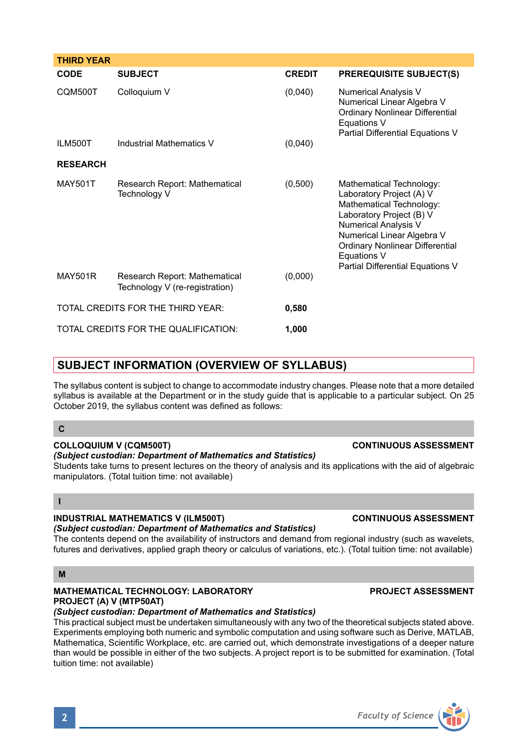| <b>CODE</b>     | <b>SUBJECT</b>                                                  | <b>CREDIT</b> | <b>PREREQUISITE SUBJECT(S)</b>                                                                                                                                                                                                                                  |
|-----------------|-----------------------------------------------------------------|---------------|-----------------------------------------------------------------------------------------------------------------------------------------------------------------------------------------------------------------------------------------------------------------|
| CQM500T         | Colloquium V                                                    | (0,040)       | <b>Numerical Analysis V</b><br>Numerical Linear Algebra V<br>Ordinary Nonlinear Differential<br>Equations V<br>Partial Differential Equations V                                                                                                                 |
| ILM500T         | <b>Industrial Mathematics V</b>                                 | (0,040)       |                                                                                                                                                                                                                                                                 |
| <b>RESEARCH</b> |                                                                 |               |                                                                                                                                                                                                                                                                 |
| <b>MAY501T</b>  | Research Report: Mathematical<br>Technology V                   | (0,500)       | Mathematical Technology:<br>Laboratory Project (A) V<br>Mathematical Technology:<br>Laboratory Project (B) V<br><b>Numerical Analysis V</b><br>Numerical Linear Algebra V<br>Ordinary Nonlinear Differential<br>Equations V<br>Partial Differential Equations V |
| <b>MAY501R</b>  | Research Report: Mathematical<br>Technology V (re-registration) | (0,000)       |                                                                                                                                                                                                                                                                 |
|                 | TOTAL CREDITS FOR THE THIRD YEAR:                               | 0,580         |                                                                                                                                                                                                                                                                 |
|                 | TOTAL CREDITS FOR THE QUALIFICATION:                            | 1,000         |                                                                                                                                                                                                                                                                 |

# **SUBJECT INFORMATION (OVERVIEW OF SYLLABUS)**

The syllabus content is subject to change to accommodate industry changes. Please note that a more detailed syllabus is available at the Department or in the study guide that is applicable to a particular subject. On 25 October 2019, the syllabus content was defined as follows:

### **C**

**THIRD YEAR**

### **COLLOQUIUM V (CQM500T) CONTINUOUS ASSESSMENT**

#### *(Subject custodian: Department of Mathematics and Statistics)*

Students take turns to present lectures on the theory of analysis and its applications with the aid of algebraic manipulators. (Total tuition time: not available)

# **I**

# **INDUSTRIAL MATHEMATICS V (ILM500T) CONTINUOUS ASSESSMENT**

*(Subject custodian: Department of Mathematics and Statistics)*

The contents depend on the availability of instructors and demand from regional industry (such as wavelets, futures and derivatives, applied graph theory or calculus of variations, etc.). (Total tuition time: not available)

### **M**

## **MATHEMATICAL TECHNOLOGY: LABORATORY PROJECT ASSESSMENT PROJECT (A) V (MTP50AT)**

## *(Subject custodian: Department of Mathematics and Statistics)*

This practical subject must be undertaken simultaneously with any two of the theoretical subjects stated above. Experiments employing both numeric and symbolic computation and using software such as Derive, MATLAB, Mathematica, Scientific Workplace, etc. are carried out, which demonstrate investigations of a deeper nature than would be possible in either of the two subjects. A project report is to be submitted for examination. (Total tuition time: not available)